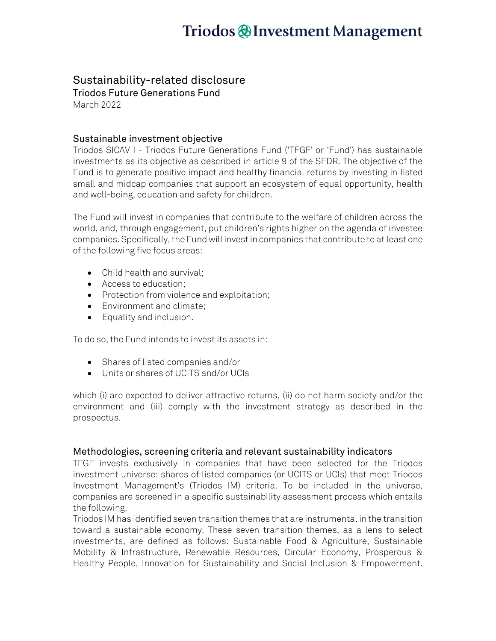# Triodos @Investment Management

### Sustainability-related disclosure

Triodos Future Generations Fund March 2022

### Sustainable investment objective

Triodos SICAV I - Triodos Future Generations Fund ('TFGF' or 'Fund') has sustainable investments as its objective as described in article 9 of the SFDR. The objective of the Fund is to generate positive impact and healthy financial returns by investing in listed small and midcap companies that support an ecosystem of equal opportunity, health and well-being, education and safety for children.

The Fund will invest in companies that contribute to the welfare of children across the world, and, through engagement, put children's rights higher on the agenda of investee companies. Specifically, the Fund will invest in companies that contribute to at least one of the following five focus areas:

- Child health and survival:
- Access to education;
- Protection from violence and exploitation;
- Environment and climate;
- Equality and inclusion.

To do so, the Fund intends to invest its assets in:

- Shares of listed companies and/or
- Units or shares of UCITS and/or UCIs

which (i) are expected to deliver attractive returns, (ii) do not harm society and/or the environment and (iii) comply with the investment strategy as described in the prospectus.

#### Methodologies, screening criteria and relevant sustainability indicators

TFGF invests exclusively in companies that have been selected for the Triodos investment universe: shares of listed companies (or UCITS or UCIs) that meet Triodos Investment Management's (Triodos IM) criteria. To be included in the universe, companies are screened in a specific sustainability assessment process which entails the following.

Triodos IM has identified seven transition themes that are instrumental in the transition toward a sustainable economy. These seven transition themes, as a lens to select investments, are defined as follows: Sustainable Food & Agriculture, Sustainable Mobility & Infrastructure, Renewable Resources, Circular Economy, Prosperous & Healthy People, Innovation for Sustainability and Social Inclusion & Empowerment.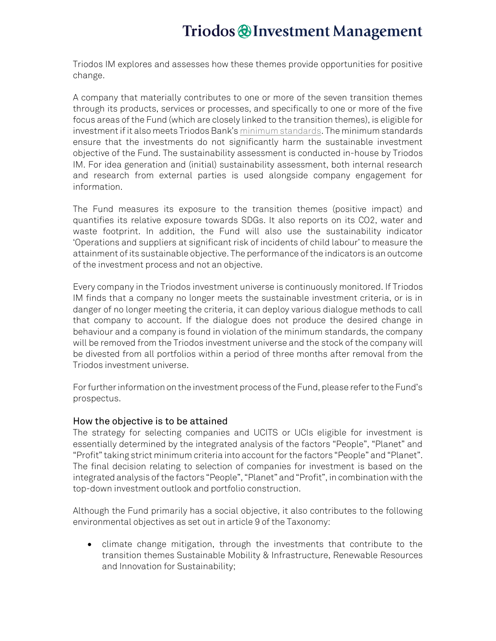### Triodos @Investment Management

Triodos IM explores and assesses how these themes provide opportunities for positive change.

A company that materially contributes to one or more of the seven transition themes through its products, services or processes, and specifically to one or more of the five focus areas of the Fund (which are closely linked to the transition themes), is eligible for investment if it also meets Triodos Bank's [minimum standards.](https://www.triodos-im.com/binaries/content/assets/shared/fund-assets/tpif/triodos-minimum-standards.pdf) The minimum standards ensure that the investments do not significantly harm the sustainable investment objective of the Fund. The sustainability assessment is conducted in-house by Triodos IM. For idea generation and (initial) sustainability assessment, both internal research and research from external parties is used alongside company engagement for information.

The Fund measures its exposure to the transition themes (positive impact) and quantifies its relative exposure towards SDGs. It also reports on its CO2, water and waste footprint. In addition, the Fund will also use the sustainability indicator 'Operations and suppliers at significant risk of incidents of child labour' to measure the attainment of its sustainable objective. The performance of the indicators is an outcome of the investment process and not an objective.

Every company in the Triodos investment universe is continuously monitored. If Triodos IM finds that a company no longer meets the sustainable investment criteria, or is in danger of no longer meeting the criteria, it can deploy various dialogue methods to call that company to account. If the dialogue does not produce the desired change in behaviour and a company is found in violation of the minimum standards, the company will be removed from the Triodos investment universe and the stock of the company will be divested from all portfolios within a period of three months after removal from the Triodos investment universe.

For further information on the investment process of the Fund, please refer to the Fund's prospectus.

#### How the objective is to be attained

The strategy for selecting companies and UCITS or UCIs eligible for investment is essentially determined by the integrated analysis of the factors "People", "Planet" and "Profit" taking strict minimum criteria into account forthe factors "People" and "Planet". The final decision relating to selection of companies for investment is based on the integrated analysis of the factors "People", "Planet" and "Profit", in combination with the top-down investment outlook and portfolio construction.

Although the Fund primarily has a social objective, it also contributes to the following environmental objectives as set out in article 9 of the Taxonomy:

• climate change mitigation, through the investments that contribute to the transition themes Sustainable Mobility & Infrastructure, Renewable Resources and Innovation for Sustainability;